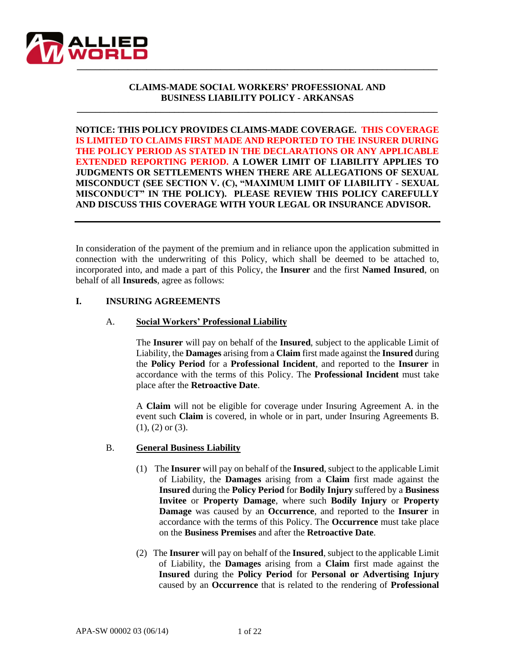

# **CLAIMS-MADE SOCIAL WORKERS' PROFESSIONAL AND BUSINESS LIABILITY POLICY - ARKANSAS**

**\_\_\_\_\_\_\_\_\_\_\_\_\_\_\_\_\_\_\_\_\_\_\_\_\_\_\_\_\_\_\_\_\_\_\_\_\_\_\_\_\_\_\_\_\_\_\_\_\_\_\_\_\_\_\_\_\_\_\_\_\_\_\_\_\_\_\_\_\_\_\_\_\_\_\_\_\_\_**

**NOTICE: THIS POLICY PROVIDES CLAIMS-MADE COVERAGE. THIS COVERAGE IS LIMITED TO CLAIMS FIRST MADE AND REPORTED TO THE INSURER DURING THE POLICY PERIOD AS STATED IN THE DECLARATIONS OR ANY APPLICABLE EXTENDED REPORTING PERIOD. A LOWER LIMIT OF LIABILITY APPLIES TO JUDGMENTS OR SETTLEMENTS WHEN THERE ARE ALLEGATIONS OF SEXUAL MISCONDUCT (SEE SECTION V. (C), "MAXIMUM LIMIT OF LIABILITY - SEXUAL MISCONDUCT" IN THE POLICY). PLEASE REVIEW THIS POLICY CAREFULLY AND DISCUSS THIS COVERAGE WITH YOUR LEGAL OR INSURANCE ADVISOR.**

In consideration of the payment of the premium and in reliance upon the application submitted in connection with the underwriting of this Policy, which shall be deemed to be attached to, incorporated into, and made a part of this Policy, the **Insurer** and the first **Named Insured**, on behalf of all **Insureds**, agree as follows:

### **I. INSURING AGREEMENTS**

### A. **Social Workers' Professional Liability**

The **Insurer** will pay on behalf of the **Insured**, subject to the applicable Limit of Liability, the **Damages** arising from a **Claim** first made against the **Insured** during the **Policy Period** for a **Professional Incident**, and reported to the **Insurer** in accordance with the terms of this Policy. The **Professional Incident** must take place after the **Retroactive Date**.

A **Claim** will not be eligible for coverage under Insuring Agreement A. in the event such **Claim** is covered, in whole or in part, under Insuring Agreements B. (1), (2) or (3).

#### B. **General Business Liability**

- (1) The **Insurer** will pay on behalf of the **Insured**, subject to the applicable Limit of Liability, the **Damages** arising from a **Claim** first made against the **Insured** during the **Policy Period** for **Bodily Injury** suffered by a **Business Invitee** or **Property Damage**, where such **Bodily Injury** or **Property Damage** was caused by an **Occurrence**, and reported to the **Insurer** in accordance with the terms of this Policy. The **Occurrence** must take place on the **Business Premises** and after the **Retroactive Date**.
- (2) The **Insurer** will pay on behalf of the **Insured**, subject to the applicable Limit of Liability, the **Damages** arising from a **Claim** first made against the **Insured** during the **Policy Period** for **Personal or Advertising Injury** caused by an **Occurrence** that is related to the rendering of **Professional**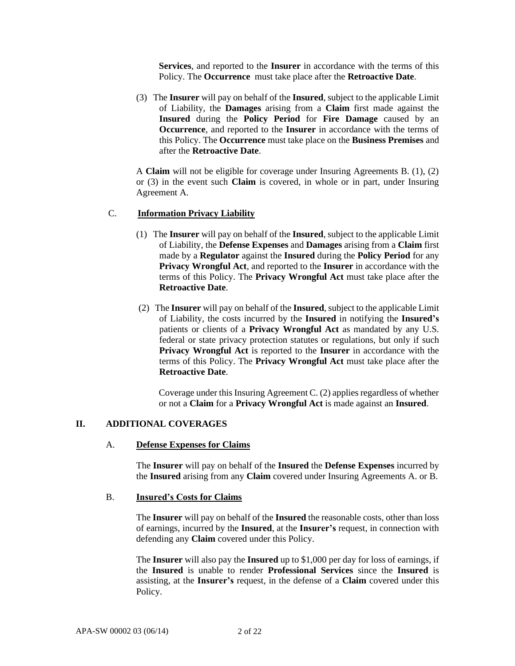**Services**, and reported to the **Insurer** in accordance with the terms of this Policy. The **Occurrence** must take place after the **Retroactive Date**.

(3) The **Insurer** will pay on behalf of the **Insured**, subject to the applicable Limit of Liability, the **Damages** arising from a **Claim** first made against the **Insured** during the **Policy Period** for **Fire Damage** caused by an **Occurrence**, and reported to the **Insurer** in accordance with the terms of this Policy. The **Occurrence** must take place on the **Business Premises** and after the **Retroactive Date**.

A **Claim** will not be eligible for coverage under Insuring Agreements B. (1), (2) or (3) in the event such **Claim** is covered, in whole or in part, under Insuring Agreement A.

# C. **Information Privacy Liability**

- (1) The **Insurer** will pay on behalf of the **Insured**, subject to the applicable Limit of Liability, the **Defense Expenses** and **Damages** arising from a **Claim** first made by a **Regulator** against the **Insured** during the **Policy Period** for any **Privacy Wrongful Act**, and reported to the **Insurer** in accordance with the terms of this Policy. The **Privacy Wrongful Act** must take place after the **Retroactive Date**.
- (2) The **Insurer** will pay on behalf of the **Insured**, subject to the applicable Limit of Liability, the costs incurred by the **Insured** in notifying the **Insured's**  patients or clients of a **Privacy Wrongful Act** as mandated by any U.S. federal or state privacy protection statutes or regulations, but only if such **Privacy Wrongful Act** is reported to the **Insurer** in accordance with the terms of this Policy. The **Privacy Wrongful Act** must take place after the **Retroactive Date**.

Coverage under this Insuring Agreement C. (2) applies regardless of whether or not a **Claim** for a **Privacy Wrongful Act** is made against an **Insured**.

#### **II. ADDITIONAL COVERAGES**

#### A. **Defense Expenses for Claims**

The **Insurer** will pay on behalf of the **Insured** the **Defense Expenses** incurred by the **Insured** arising from any **Claim** covered under Insuring Agreements A. or B.

#### B. **Insured's Costs for Claims**

The **Insurer** will pay on behalf of the **Insured** the reasonable costs, other than loss of earnings, incurred by the **Insured**, at the **Insurer's** request, in connection with defending any **Claim** covered under this Policy.

The **Insurer** will also pay the **Insured** up to \$1,000 per day for loss of earnings, if the **Insured** is unable to render **Professional Services** since the **Insured** is assisting, at the **Insurer's** request, in the defense of a **Claim** covered under this Policy.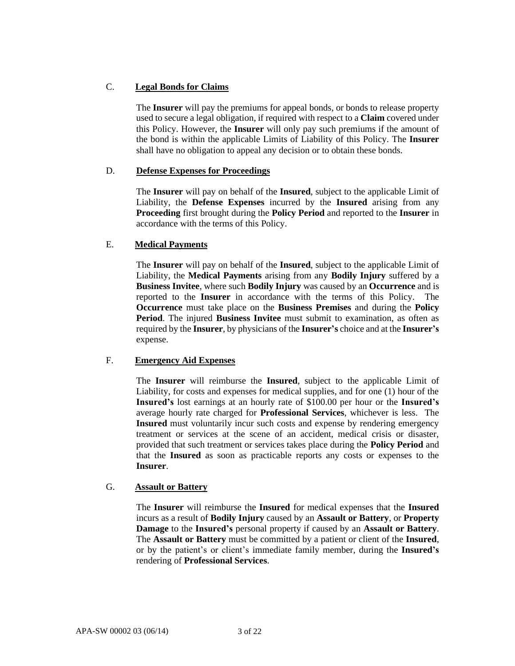# C. **Legal Bonds for Claims**

The **Insurer** will pay the premiums for appeal bonds, or bonds to release property used to secure a legal obligation, if required with respect to a **Claim** covered under this Policy. However, the **Insurer** will only pay such premiums if the amount of the bond is within the applicable Limits of Liability of this Policy. The **Insurer** shall have no obligation to appeal any decision or to obtain these bonds.

# D. **Defense Expenses for Proceedings**

The **Insurer** will pay on behalf of the **Insured**, subject to the applicable Limit of Liability, the **Defense Expenses** incurred by the **Insured** arising from any **Proceeding** first brought during the **Policy Period** and reported to the **Insurer** in accordance with the terms of this Policy.

### E. **Medical Payments**

The **Insurer** will pay on behalf of the **Insured**, subject to the applicable Limit of Liability, the **Medical Payments** arising from any **Bodily Injury** suffered by a **Business Invitee**, where such **Bodily Injury** was caused by an **Occurrence** and is reported to the **Insurer** in accordance with the terms of this Policy. The **Occurrence** must take place on the **Business Premises** and during the **Policy Period**. The injured **Business Invitee** must submit to examination, as often as required by the **Insurer**, by physicians of the **Insurer's** choice and at the **Insurer's**  expense.

# F. **Emergency Aid Expenses**

The **Insurer** will reimburse the **Insured**, subject to the applicable Limit of Liability, for costs and expenses for medical supplies, and for one (1) hour of the **Insured's** lost earnings at an hourly rate of \$100.00 per hour or the **Insured's**  average hourly rate charged for **Professional Services**, whichever is less. The **Insured** must voluntarily incur such costs and expense by rendering emergency treatment or services at the scene of an accident, medical crisis or disaster, provided that such treatment or services takes place during the **Policy Period** and that the **Insured** as soon as practicable reports any costs or expenses to the **Insurer**.

#### G. **Assault or Battery**

The **Insurer** will reimburse the **Insured** for medical expenses that the **Insured** incurs as a result of **Bodily Injury** caused by an **Assault or Battery**, or **Property Damage** to the **Insured's** personal property if caused by an **Assault or Battery**. The **Assault or Battery** must be committed by a patient or client of the **Insured**, or by the patient's or client's immediate family member, during the **Insured's**  rendering of **Professional Services**.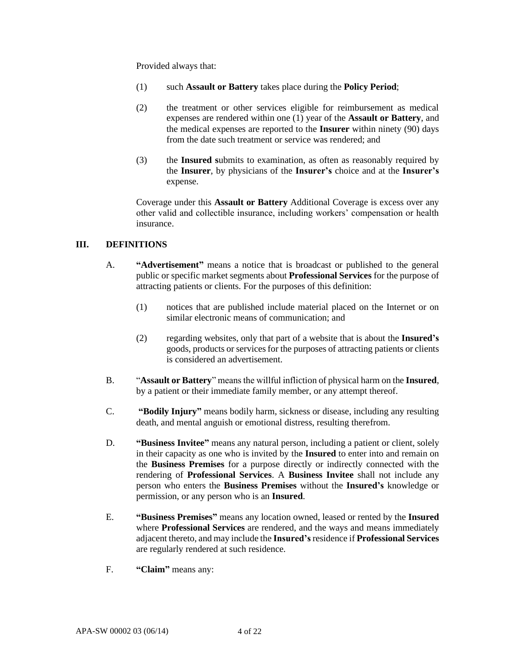Provided always that:

- (1) such **Assault or Battery** takes place during the **Policy Period**;
- (2) the treatment or other services eligible for reimbursement as medical expenses are rendered within one (1) year of the **Assault or Battery**, and the medical expenses are reported to the **Insurer** within ninety (90) days from the date such treatment or service was rendered; and
- (3) the **Insured s**ubmits to examination, as often as reasonably required by the **Insurer**, by physicians of the **Insurer's** choice and at the **Insurer's** expense.

Coverage under this **Assault or Battery** Additional Coverage is excess over any other valid and collectible insurance, including workers' compensation or health insurance.

# **III. DEFINITIONS**

- A. **"Advertisement"** means a notice that is broadcast or published to the general public or specific market segments about **Professional Services** for the purpose of attracting patients or clients. For the purposes of this definition:
	- (1) notices that are published include material placed on the Internet or on similar electronic means of communication; and
	- (2) regarding websites, only that part of a website that is about the **Insured's** goods, products or services for the purposes of attracting patients or clients is considered an advertisement.
- B. "**Assault or Battery**" means the willful infliction of physical harm on the **Insured**, by a patient or their immediate family member, or any attempt thereof.
- C. **"Bodily Injury"** means bodily harm, sickness or disease, including any resulting death, and mental anguish or emotional distress, resulting therefrom.
- D. **"Business Invitee"** means any natural person, including a patient or client, solely in their capacity as one who is invited by the **Insured** to enter into and remain on the **Business Premises** for a purpose directly or indirectly connected with the rendering of **Professional Services**. A **Business Invitee** shall not include any person who enters the **Business Premises** without the **Insured's** knowledge or permission, or any person who is an **Insured**.
- E. **"Business Premises"** means any location owned, leased or rented by the **Insured**  where **Professional Services** are rendered, and the ways and means immediately adjacent thereto, and may include the **Insured's**residence if **Professional Services**  are regularly rendered at such residence.
- F. **"Claim"** means any: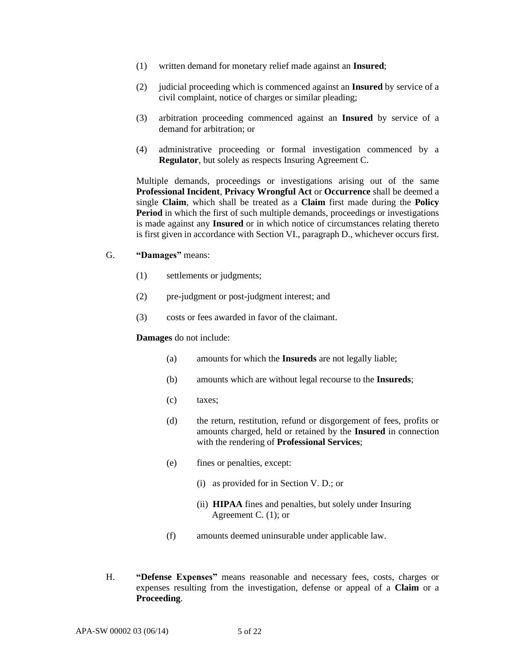- (1) written demand for monetary relief made against an **Insured**;
- (2) judicial proceeding which is commenced against an **Insured** by service of a civil complaint, notice of charges or similar pleading;
- (3) arbitration proceeding commenced against an **Insured** by service of a demand for arbitration; or
- (4) administrative proceeding or formal investigation commenced by a **Regulator**, but solely as respects Insuring Agreement C.

Multiple demands, proceedings or investigations arising out of the same **Professional Incident**, **Privacy Wrongful Act** or **Occurrence** shall be deemed a single **Claim**, which shall be treated as a **Claim** first made during the **Policy Period** in which the first of such multiple demands, proceedings or investigations is made against any **Insured** or in which notice of circumstances relating thereto is first given in accordance with Section VI., paragraph D., whichever occurs first.

- G. **"Damages"** means:
	- (1) settlements or judgments;
	- (2) pre-judgment or post-judgment interest; and
	- (3) costs or fees awarded in favor of the claimant.

#### **Damages** do not include:

- (a) amounts for which the **Insureds** are not legally liable;
- (b) amounts which are without legal recourse to the **Insureds**;
- (c) taxes;
- (d) the return, restitution, refund or disgorgement of fees, profits or amounts charged, held or retained by the **Insured** in connection with the rendering of **Professional Services**;
- (e) fines or penalties, except:
	- (i) as provided for in Section V. D.; or
	- (ii) **HIPAA** fines and penalties, but solely under Insuring Agreement C. (1); or
- (f) amounts deemed uninsurable under applicable law.
- H. **"Defense Expenses"** means reasonable and necessary fees, costs, charges or expenses resulting from the investigation, defense or appeal of a **Claim** or a **Proceeding**.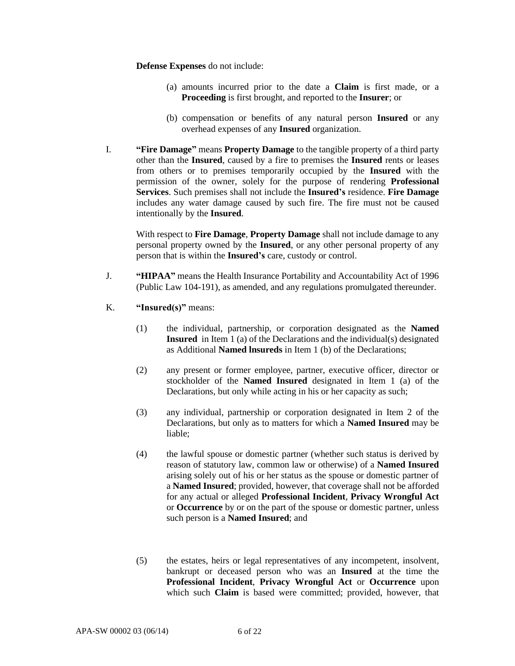**Defense Expenses** do not include:

- (a) amounts incurred prior to the date a **Claim** is first made, or a **Proceeding** is first brought, and reported to the **Insurer**; or
- (b) compensation or benefits of any natural person **Insured** or any overhead expenses of any **Insured** organization.
- I. **"Fire Damage"** means **Property Damage** to the tangible property of a third party other than the **Insured**, caused by a fire to premises the **Insured** rents or leases from others or to premises temporarily occupied by the **Insured** with the permission of the owner, solely for the purpose of rendering **Professional Services**. Such premises shall not include the **Insured's** residence. **Fire Damage** includes any water damage caused by such fire. The fire must not be caused intentionally by the **Insured**.

With respect to **Fire Damage**, **Property Damage** shall not include damage to any personal property owned by the **Insured**, or any other personal property of any person that is within the **Insured's** care, custody or control.

- J. **"HIPAA"** means the Health Insurance Portability and Accountability Act of 1996 (Public Law 104-191), as amended, and any regulations promulgated thereunder.
- K. **"Insured(s)"** means:
	- (1) the individual, partnership, or corporation designated as the **Named Insured** in Item 1 (a) of the Declarations and the individual(s) designated as Additional **Named lnsureds** in Item 1 (b) of the Declarations;
	- (2) any present or former employee, partner, executive officer, director or stockholder of the **Named Insured** designated in Item 1 (a) of the Declarations, but only while acting in his or her capacity as such;
	- (3) any individual, partnership or corporation designated in Item 2 of the Declarations, but only as to matters for which a **Named Insured** may be liable;
	- (4) the lawful spouse or domestic partner (whether such status is derived by reason of statutory law, common law or otherwise) of a **Named Insured** arising solely out of his or her status as the spouse or domestic partner of a **Named Insured**; provided, however, that coverage shall not be afforded for any actual or alleged **Professional Incident**, **Privacy Wrongful Act** or **Occurrence** by or on the part of the spouse or domestic partner, unless such person is a **Named Insured**; and
	- (5) the estates, heirs or legal representatives of any incompetent, insolvent, bankrupt or deceased person who was an **Insured** at the time the **Professional Incident**, **Privacy Wrongful Act** or **Occurrence** upon which such **Claim** is based were committed; provided, however, that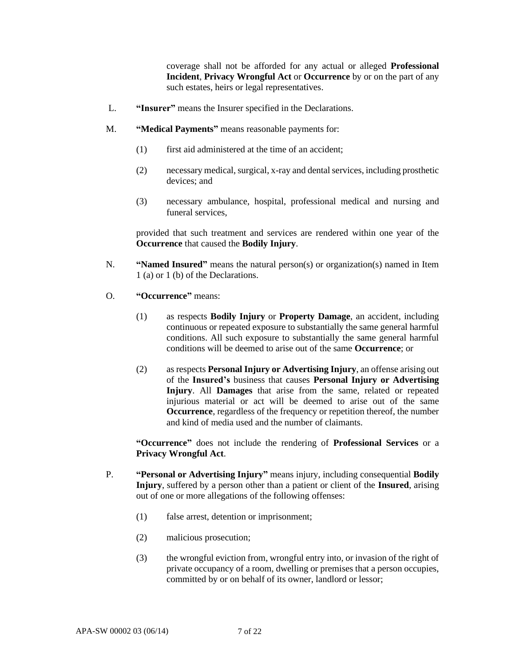coverage shall not be afforded for any actual or alleged **Professional Incident**, **Privacy Wrongful Act** or **Occurrence** by or on the part of any such estates, heirs or legal representatives.

- L. **"Insurer"** means the Insurer specified in the Declarations.
- M. **"Medical Payments"** means reasonable payments for:
	- (1) first aid administered at the time of an accident;
	- (2) necessary medical, surgical, x-ray and dental services, including prosthetic devices; and
	- (3) necessary ambulance, hospital, professional medical and nursing and funeral services,

provided that such treatment and services are rendered within one year of the **Occurrence** that caused the **Bodily Injury**.

- N. **"Named Insured"** means the natural person(s) or organization(s) named in Item 1 (a) or 1 (b) of the Declarations.
- O. **"Occurrence"** means:
	- (1) as respects **Bodily Injury** or **Property Damage**, an accident, including continuous or repeated exposure to substantially the same general harmful conditions. All such exposure to substantially the same general harmful conditions will be deemed to arise out of the same **Occurrence**; or
	- (2) as respects **Personal Injury or Advertising Injury**, an offense arising out of the **Insured's** business that causes **Personal Injury or Advertising Injury**. All **Damages** that arise from the same, related or repeated injurious material or act will be deemed to arise out of the same **Occurrence**, regardless of the frequency or repetition thereof, the number and kind of media used and the number of claimants.

**"Occurrence"** does not include the rendering of **Professional Services** or a **Privacy Wrongful Act**.

- P. **"Personal or Advertising Injury"** means injury, including consequential **Bodily Injury**, suffered by a person other than a patient or client of the **Insured**, arising out of one or more allegations of the following offenses:
	- (1) false arrest, detention or imprisonment;
	- (2) malicious prosecution;
	- (3) the wrongful eviction from, wrongful entry into, or invasion of the right of private occupancy of a room, dwelling or premises that a person occupies, committed by or on behalf of its owner, landlord or lessor;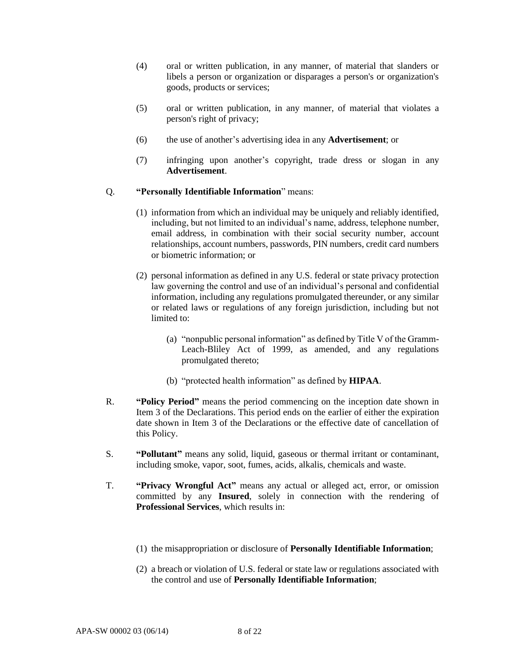- (4) oral or written publication, in any manner, of material that slanders or libels a person or organization or disparages a person's or organization's goods, products or services;
- (5) oral or written publication, in any manner, of material that violates a person's right of privacy;
- (6) the use of another's advertising idea in any **Advertisement**; or
- (7) infringing upon another's copyright, trade dress or slogan in any **Advertisement**.

# Q. **"Personally Identifiable Information**" means:

- (1) information from which an individual may be uniquely and reliably identified, including, but not limited to an individual's name, address, telephone number, email address, in combination with their social security number, account relationships, account numbers, passwords, PIN numbers, credit card numbers or biometric information; or
- (2) personal information as defined in any U.S. federal or state privacy protection law governing the control and use of an individual's personal and confidential information, including any regulations promulgated thereunder, or any similar or related laws or regulations of any foreign jurisdiction, including but not limited to:
	- (a) "nonpublic personal information" as defined by Title V of the Gramm-Leach-Bliley Act of 1999, as amended, and any regulations promulgated thereto;
	- (b) "protected health information" as defined by **HIPAA**.
- R. **"Policy Period"** means the period commencing on the inception date shown in Item 3 of the Declarations. This period ends on the earlier of either the expiration date shown in Item 3 of the Declarations or the effective date of cancellation of this Policy.
- S. **"Pollutant"** means any solid, liquid, gaseous or thermal irritant or contaminant, including smoke, vapor, soot, fumes, acids, alkalis, chemicals and waste.
- T. **"Privacy Wrongful Act"** means any actual or alleged act, error, or omission committed by any **Insured**, solely in connection with the rendering of **Professional Services**, which results in:
	- (1) the misappropriation or disclosure of **Personally Identifiable Information**;
	- (2) a breach or violation of U.S. federal or state law or regulations associated with the control and use of **Personally Identifiable Information**;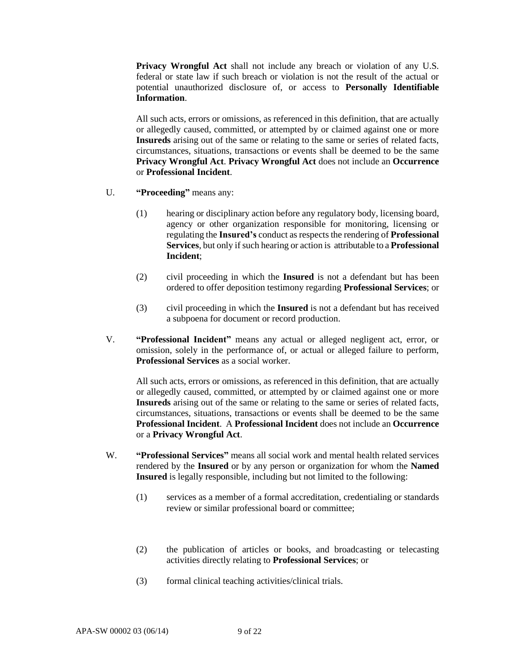**Privacy Wrongful Act** shall not include any breach or violation of any U.S. federal or state law if such breach or violation is not the result of the actual or potential unauthorized disclosure of, or access to **Personally Identifiable Information**.

All such acts, errors or omissions, as referenced in this definition, that are actually or allegedly caused, committed, or attempted by or claimed against one or more **Insureds** arising out of the same or relating to the same or series of related facts, circumstances, situations, transactions or events shall be deemed to be the same **Privacy Wrongful Act**. **Privacy Wrongful Act** does not include an **Occurrence** or **Professional Incident**.

- U. **"Proceeding"** means any:
	- (1) hearing or disciplinary action before any regulatory body, licensing board, agency or other organization responsible for monitoring, licensing or regulating the **Insured's** conduct as respects the rendering of **Professional Services**, but only if such hearing or action is attributable to a **Professional Incident**;
	- (2) civil proceeding in which the **Insured** is not a defendant but has been ordered to offer deposition testimony regarding **Professional Services**; or
	- (3) civil proceeding in which the **Insured** is not a defendant but has received a subpoena for document or record production.
- V. **"Professional Incident"** means any actual or alleged negligent act, error, or omission, solely in the performance of, or actual or alleged failure to perform, **Professional Services** as a social worker.

All such acts, errors or omissions, as referenced in this definition, that are actually or allegedly caused, committed, or attempted by or claimed against one or more **Insureds** arising out of the same or relating to the same or series of related facts, circumstances, situations, transactions or events shall be deemed to be the same **Professional Incident**. A **Professional Incident** does not include an **Occurrence**  or a **Privacy Wrongful Act**.

- W. **"Professional Services"** means all social work and mental health related services rendered by the **Insured** or by any person or organization for whom the **Named Insured** is legally responsible, including but not limited to the following:
	- (1) services as a member of a formal accreditation, credentialing or standards review or similar professional board or committee;
	- (2) the publication of articles or books, and broadcasting or telecasting activities directly relating to **Professional Services**; or
	- (3) formal clinical teaching activities/clinical trials.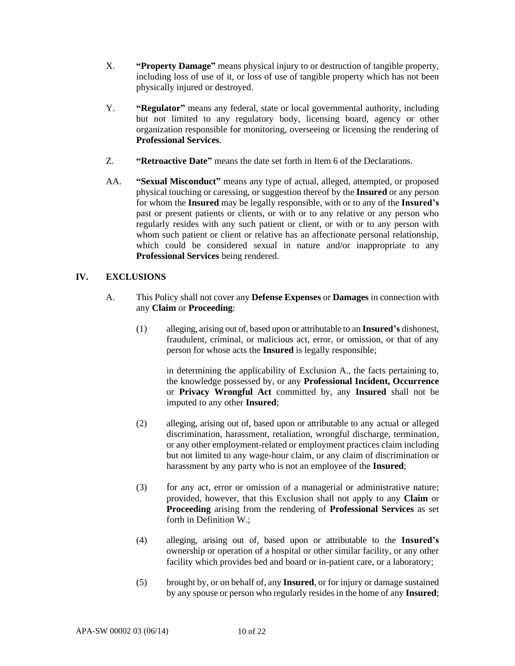- X. **"Property Damage"** means physical injury to or destruction of tangible property, including loss of use of it, or loss of use of tangible property which has not been physically injured or destroyed.
- Y. **"Regulator"** means any federal, state or local governmental authority, including but not limited to any regulatory body, licensing board, agency or other organization responsible for monitoring, overseeing or licensing the rendering of **Professional Services**.
- Z. **"Retroactive Date"** means the date set forth in Item 6 of the Declarations.
- AA. **"Sexual Misconduct"** means any type of actual, alleged, attempted, or proposed physical touching or caressing, or suggestion thereof by the **Insured** or any person for whom the **Insured** may be legally responsible, with or to any of the **Insured's** past or present patients or clients, or with or to any relative or any person who regularly resides with any such patient or client, or with or to any person with whom such patient or client or relative has an affectionate personal relationship, which could be considered sexual in nature and/or inappropriate to any **Professional Services** being rendered.

# **IV. EXCLUSIONS**

- A. This Policy shall not cover any **Defense Expenses** or **Damages** in connection with any **Claim** or **Proceeding**:
	- (1) alleging, arising out of, based upon or attributable to an **Insured's** dishonest, fraudulent, criminal, or malicious act, error, or omission, or that of any person for whose acts the **Insured** is legally responsible;

in determining the applicability of Exclusion A., the facts pertaining to, the knowledge possessed by, or any **Professional Incident, Occurrence** or **Privacy Wrongful Act** committed by, any **Insured** shall not be imputed to any other **Insured**;

- (2) alleging, arising out of, based upon or attributable to any actual or alleged discrimination, harassment, retaliation, wrongful discharge, termination, or any other employment-related or employment practices claim including but not limited to any wage-hour claim, or any claim of discrimination or harassment by any party who is not an employee of the **Insured**;
- (3) for any act, error or omission of a managerial or administrative nature; provided, however, that this Exclusion shall not apply to any **Claim** or **Proceeding** arising from the rendering of **Professional Services** as set forth in Definition W.;
- (4) alleging, arising out of, based upon or attributable to the **Insured's** ownership or operation of a hospital or other similar facility, or any other facility which provides bed and board or in-patient care, or a laboratory;
- (5) brought by, or on behalf of, any **Insured**, or for injury or damage sustained by any spouse or person who regularly resides in the home of any **Insured**;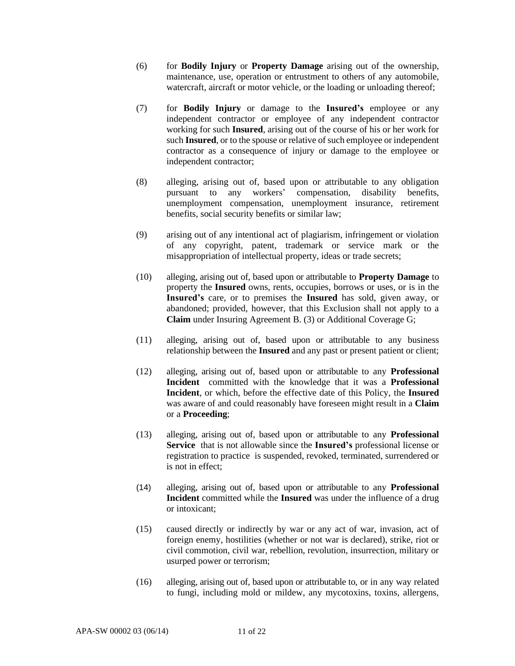- (6) for **Bodily Injury** or **Property Damage** arising out of the ownership, maintenance, use, operation or entrustment to others of any automobile, watercraft, aircraft or motor vehicle, or the loading or unloading thereof;
- (7) for **Bodily Injury** or damage to the **Insured's** employee or any independent contractor or employee of any independent contractor working for such **Insured**, arising out of the course of his or her work for such **Insured**, or to the spouse or relative of such employee or independent contractor as a consequence of injury or damage to the employee or independent contractor;
- (8) alleging, arising out of, based upon or attributable to any obligation pursuant to any workers' compensation, disability benefits, unemployment compensation, unemployment insurance, retirement benefits, social security benefits or similar law;
- (9) arising out of any intentional act of plagiarism, infringement or violation of any copyright, patent, trademark or service mark or the misappropriation of intellectual property, ideas or trade secrets;
- (10) alleging, arising out of, based upon or attributable to **Property Damage** to property the **Insured** owns, rents, occupies, borrows or uses, or is in the **Insured's** care, or to premises the **Insured** has sold, given away, or abandoned; provided, however, that this Exclusion shall not apply to a **Claim** under Insuring Agreement B. (3) or Additional Coverage G;
- (11) alleging, arising out of, based upon or attributable to any business relationship between the **Insured** and any past or present patient or client;
- (12) alleging, arising out of, based upon or attributable to any **Professional Incident** committed with the knowledge that it was a **Professional Incident**, or which, before the effective date of this Policy, the **Insured** was aware of and could reasonably have foreseen might result in a **Claim** or a **Proceeding**;
- (13) alleging, arising out of, based upon or attributable to any **Professional Service** that is not allowable since the **Insured's** professional license or registration to practice is suspended, revoked, terminated, surrendered or is not in effect;
- (14) alleging, arising out of, based upon or attributable to any **Professional Incident** committed while the **Insured** was under the influence of a drug or intoxicant;
- (15) caused directly or indirectly by war or any act of war, invasion, act of foreign enemy, hostilities (whether or not war is declared), strike, riot or civil commotion, civil war, rebellion, revolution, insurrection, military or usurped power or terrorism;
- (16) alleging, arising out of, based upon or attributable to, or in any way related to fungi, including mold or mildew, any mycotoxins, toxins, allergens,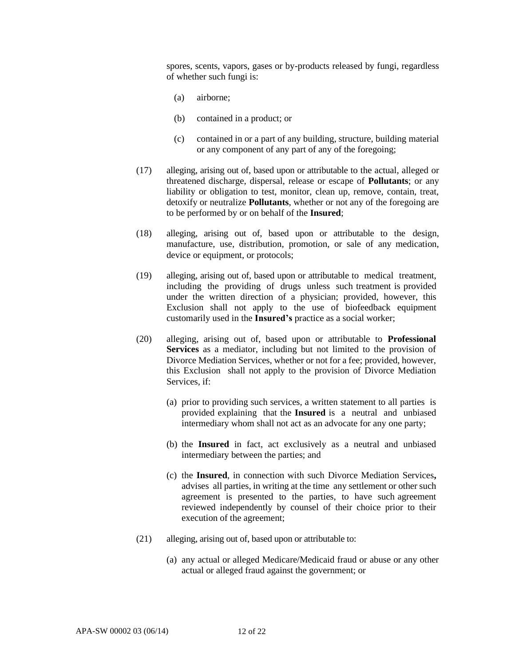spores, scents, vapors, gases or by-products released by fungi, regardless of whether such fungi is:

- (a) airborne;
- (b) contained in a product; or
- (c) contained in or a part of any building, structure, building material or any component of any part of any of the foregoing;
- (17) alleging, arising out of, based upon or attributable to the actual, alleged or threatened discharge, dispersal, release or escape of **Pollutants**; or any liability or obligation to test, monitor, clean up, remove, contain, treat, detoxify or neutralize **Pollutants**, whether or not any of the foregoing are to be performed by or on behalf of the **Insured**;
- (18) alleging, arising out of, based upon or attributable to the design, manufacture, use, distribution, promotion, or sale of any medication, device or equipment, or protocols;
- (19) alleging, arising out of, based upon or attributable to medical treatment, including the providing of drugs unless such treatment is provided under the written direction of a physician; provided, however, this Exclusion shall not apply to the use of biofeedback equipment customarily used in the **Insured's** practice as a social worker;
- (20) alleging, arising out of, based upon or attributable to **Professional Services** as a mediator, including but not limited to the provision of Divorce Mediation Services, whether or not for a fee; provided, however, this Exclusion shall not apply to the provision of Divorce Mediation Services, if:
	- (a) prior to providing such services, a written statement to all parties is provided explaining that the **Insured** is a neutral and unbiased intermediary whom shall not act as an advocate for any one party;
	- (b) the **Insured** in fact, act exclusively as a neutral and unbiased intermediary between the parties; and
	- (c) the **Insured**, in connection with such Divorce Mediation Services**,**  advises all parties, in writing at the time any settlement or other such agreement is presented to the parties, to have such agreement reviewed independently by counsel of their choice prior to their execution of the agreement;
- (21) alleging, arising out of, based upon or attributable to:
	- (a) any actual or alleged Medicare/Medicaid fraud or abuse or any other actual or alleged fraud against the government; or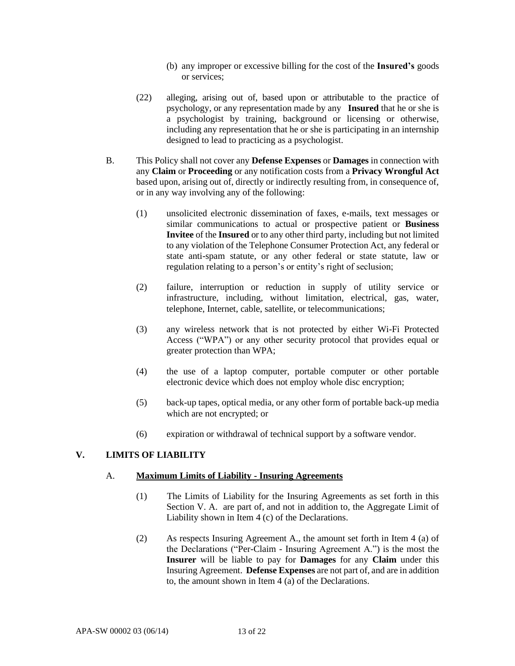- (b) any improper or excessive billing for the cost of the **Insured's** goods or services;
- (22) alleging, arising out of, based upon or attributable to the practice of psychology, or any representation made by any **Insured** that he or she is a psychologist by training, background or licensing or otherwise, including any representation that he or she is participating in an internship designed to lead to practicing as a psychologist.
- B. This Policy shall not cover any **Defense Expenses** or **Damages** in connection with any **Claim** or **Proceeding** or any notification costs from a **Privacy Wrongful Act** based upon, arising out of, directly or indirectly resulting from, in consequence of, or in any way involving any of the following:
	- (1) unsolicited electronic dissemination of faxes, e-mails, text messages or similar communications to actual or prospective patient or **Business Invitee** of the **Insured** or to any other third party, including but not limited to any violation of the Telephone Consumer Protection Act, any federal or state anti-spam statute, or any other federal or state statute, law or regulation relating to a person's or entity's right of seclusion;
	- (2) failure, interruption or reduction in supply of utility service or infrastructure, including, without limitation, electrical, gas, water, telephone, Internet, cable, satellite, or telecommunications;
	- (3) any wireless network that is not protected by either Wi-Fi Protected Access ("WPA") or any other security protocol that provides equal or greater protection than WPA;
	- (4) the use of a laptop computer, portable computer or other portable electronic device which does not employ whole disc encryption;
	- (5) back-up tapes, optical media, or any other form of portable back-up media which are not encrypted; or
	- (6) expiration or withdrawal of technical support by a software vendor.

# **V. LIMITS OF LIABILITY**

#### A. **Maximum Limits of Liability - Insuring Agreements**

- (1) The Limits of Liability for the Insuring Agreements as set forth in this Section V. A. are part of, and not in addition to, the Aggregate Limit of Liability shown in Item 4 (c) of the Declarations.
- (2) As respects Insuring Agreement A., the amount set forth in Item 4 (a) of the Declarations ("Per-Claim - Insuring Agreement A.") is the most the **Insurer** will be liable to pay for **Damages** for any **Claim** under this Insuring Agreement. **Defense Expenses** are not part of, and are in addition to, the amount shown in Item 4 (a) of the Declarations.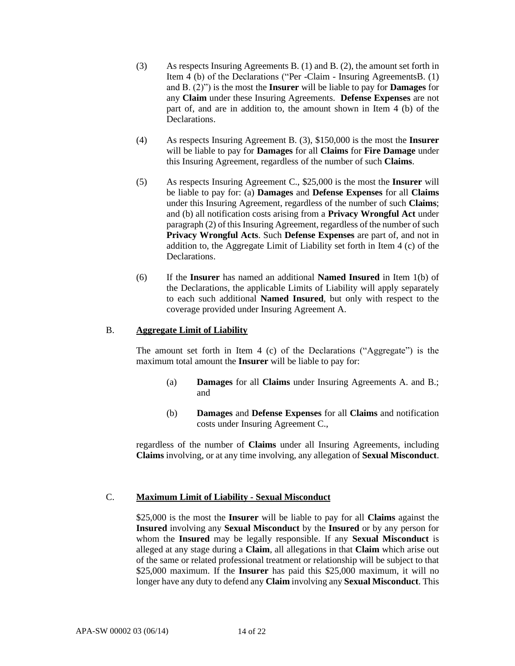- (3) As respects Insuring Agreements B. (1) and B. (2), the amount set forth in Item 4 (b) of the Declarations ("Per -Claim - Insuring AgreementsB. (1) and B. (2)") is the most the **Insurer** will be liable to pay for **Damages** for any **Claim** under these Insuring Agreements. **Defense Expenses** are not part of, and are in addition to, the amount shown in Item 4 (b) of the Declarations.
- (4) As respects Insuring Agreement B. (3), \$150,000 is the most the **Insurer** will be liable to pay for **Damages** for all **Claims** for **Fire Damage** under this Insuring Agreement, regardless of the number of such **Claims**.
- (5) As respects Insuring Agreement C., \$25,000 is the most the **Insurer** will be liable to pay for: (a) **Damages** and **Defense Expenses** for all **Claims**  under this Insuring Agreement, regardless of the number of such **Claims**; and (b) all notification costs arising from a **Privacy Wrongful Act** under paragraph (2) of this Insuring Agreement, regardless of the number of such **Privacy Wrongful Acts**. Such **Defense Expenses** are part of, and not in addition to, the Aggregate Limit of Liability set forth in Item 4 (c) of the Declarations.
- (6) If the **Insurer** has named an additional **Named Insured** in Item 1(b) of the Declarations, the applicable Limits of Liability will apply separately to each such additional **Named Insured**, but only with respect to the coverage provided under Insuring Agreement A.

# B. **Aggregate Limit of Liability**

The amount set forth in Item 4 (c) of the Declarations ("Aggregate") is the maximum total amount the **Insurer** will be liable to pay for:

- (a) **Damages** for all **Claims** under Insuring Agreements A. and B.; and
- (b) **Damages** and **Defense Expenses** for all **Claims** and notification costs under Insuring Agreement C.,

regardless of the number of **Claims** under all Insuring Agreements, including **Claims** involving, or at any time involving, any allegation of **Sexual Misconduct**.

# C. **Maximum Limit of Liability - Sexual Misconduct**

\$25,000 is the most the **Insurer** will be liable to pay for all **Claims** against the **Insured** involving any **Sexual Misconduct** by the **Insured** or by any person for whom the **Insured** may be legally responsible. If any **Sexual Misconduct** is alleged at any stage during a **Claim**, all allegations in that **Claim** which arise out of the same or related professional treatment or relationship will be subject to that \$25,000 maximum. If the **Insurer** has paid this \$25,000 maximum, it will no longer have any duty to defend any **Claim** involving any **Sexual Misconduct**. This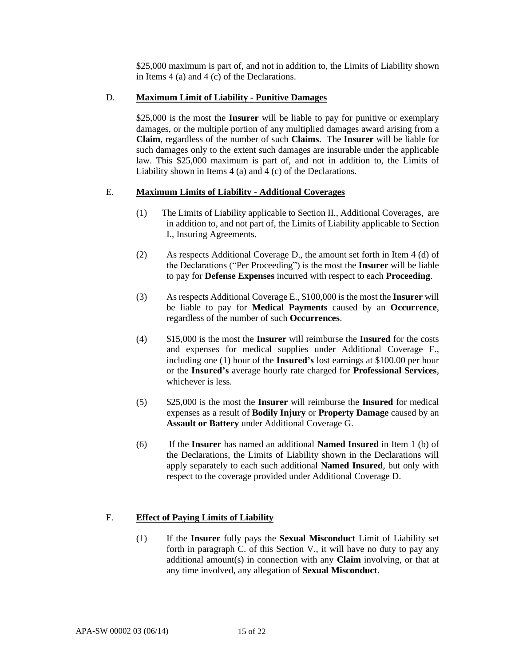\$25,000 maximum is part of, and not in addition to, the Limits of Liability shown in Items 4 (a) and 4 (c) of the Declarations.

# D. **Maximum Limit of Liability - Punitive Damages**

\$25,000 is the most the **Insurer** will be liable to pay for punitive or exemplary damages, or the multiple portion of any multiplied damages award arising from a **Claim**, regardless of the number of such **Claims**. The **Insurer** will be liable for such damages only to the extent such damages are insurable under the applicable law. This \$25,000 maximum is part of, and not in addition to, the Limits of Liability shown in Items 4 (a) and 4 (c) of the Declarations.

### E. **Maximum Limits of Liability - Additional Coverages**

- (1) The Limits of Liability applicable to Section II., Additional Coverages, are in addition to, and not part of, the Limits of Liability applicable to Section I., Insuring Agreements.
- (2) As respects Additional Coverage D., the amount set forth in Item 4 (d) of the Declarations ("Per Proceeding") is the most the **Insurer** will be liable to pay for **Defense Expenses** incurred with respect to each **Proceeding**.
- (3) As respects Additional Coverage E., \$100,000 is the most the **Insurer** will be liable to pay for **Medical Payments** caused by an **Occurrence**, regardless of the number of such **Occurrences**.
- (4) \$15,000 is the most the **Insurer** will reimburse the **Insured** for the costs and expenses for medical supplies under Additional Coverage F., including one (1) hour of the **Insured's** lost earnings at \$100.00 per hour or the **Insured's** average hourly rate charged for **Professional Services**, whichever is less.
- (5) \$25,000 is the most the **Insurer** will reimburse the **Insured** for medical expenses as a result of **Bodily Injury** or **Property Damage** caused by an **Assault or Battery** under Additional Coverage G.
- (6) If the **Insurer** has named an additional **Named Insured** in Item 1 (b) of the Declarations, the Limits of Liability shown in the Declarations will apply separately to each such additional **Named Insured**, but only with respect to the coverage provided under Additional Coverage D.

# F. **Effect of Paying Limits of Liability**

(1) If the **Insurer** fully pays the **Sexual Misconduct** Limit of Liability set forth in paragraph C. of this Section V., it will have no duty to pay any additional amount(s) in connection with any **Claim** involving, or that at any time involved, any allegation of **Sexual Misconduct**.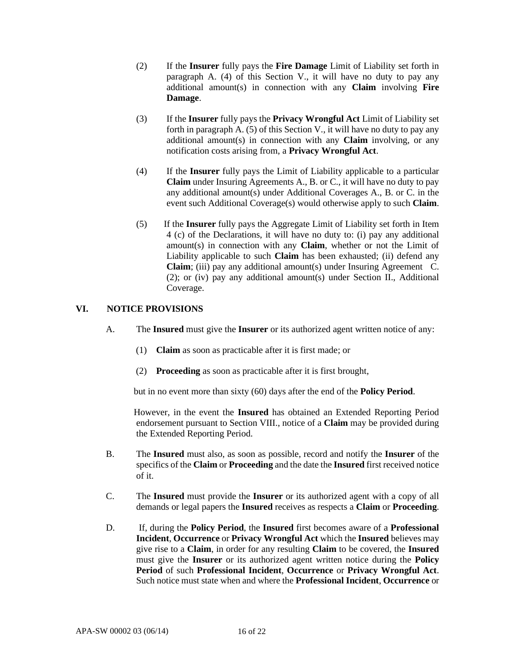- (2) If the **Insurer** fully pays the **Fire Damage** Limit of Liability set forth in paragraph A. (4) of this Section V., it will have no duty to pay any additional amount(s) in connection with any **Claim** involving **Fire Damage**.
- (3) If the **Insurer** fully pays the **Privacy Wrongful Act** Limit of Liability set forth in paragraph A. (5) of this Section V., it will have no duty to pay any additional amount(s) in connection with any **Claim** involving, or any notification costs arising from, a **Privacy Wrongful Act**.
- (4) If the **Insurer** fully pays the Limit of Liability applicable to a particular **Claim** under Insuring Agreements A., B. or C., it will have no duty to pay any additional amount(s) under Additional Coverages A., B. or C. in the event such Additional Coverage(s) would otherwise apply to such **Claim**.
- (5) If the **Insurer** fully pays the Aggregate Limit of Liability set forth in Item 4 (c) of the Declarations, it will have no duty to: (i) pay any additional amount(s) in connection with any **Claim**, whether or not the Limit of Liability applicable to such **Claim** has been exhausted; (ii) defend any **Claim**; (iii) pay any additional amount(s) under Insuring Agreement C. (2); or (iv) pay any additional amount(s) under Section II., Additional Coverage.

# **VI. NOTICE PROVISIONS**

- A. The **Insured** must give the **Insurer** or its authorized agent written notice of any:
	- (1) **Claim** as soon as practicable after it is first made; or
	- (2) **Proceeding** as soon as practicable after it is first brought,

but in no event more than sixty (60) days after the end of the **Policy Period**.

 However, in the event the **Insured** has obtained an Extended Reporting Period endorsement pursuant to Section VIII., notice of a **Claim** may be provided during the Extended Reporting Period.

- B. The **Insured** must also, as soon as possible, record and notify the **Insurer** of the specifics of the **Claim** or **Proceeding** and the date the **Insured** first received notice of it.
- C. The **Insured** must provide the **Insurer** or its authorized agent with a copy of all demands or legal papers the **Insured** receives as respects a **Claim** or **Proceeding**.
- D. If, during the **Policy Period**, the **Insured** first becomes aware of a **Professional Incident**, **Occurrence** or **Privacy Wrongful Act** which the **Insured** believes may give rise to a **Claim**, in order for any resulting **Claim** to be covered, the **Insured** must give the **Insurer** or its authorized agent written notice during the **Policy Period** of such **Professional Incident**, **Occurrence** or **Privacy Wrongful Act**. Such notice must state when and where the **Professional Incident**, **Occurrence** or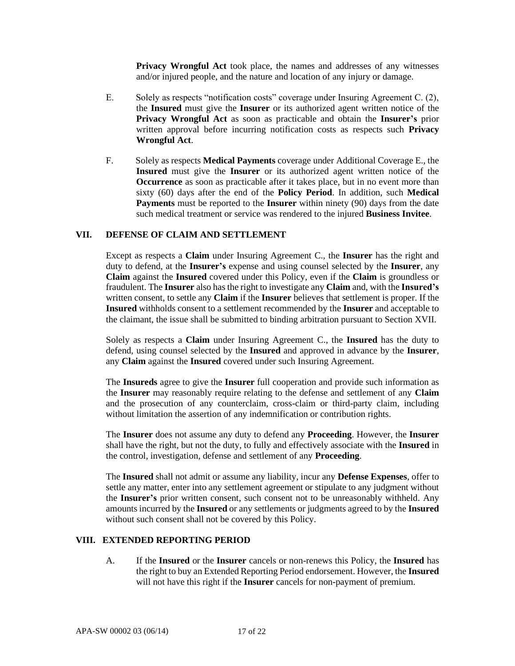**Privacy Wrongful Act** took place, the names and addresses of any witnesses and/or injured people, and the nature and location of any injury or damage.

- E. Solely as respects "notification costs" coverage under Insuring Agreement C. (2), the **Insured** must give the **Insurer** or its authorized agent written notice of the **Privacy Wrongful Act** as soon as practicable and obtain the **Insurer's** prior written approval before incurring notification costs as respects such **Privacy Wrongful Act**.
- F. Solely as respects **Medical Payments** coverage under Additional Coverage E., the **Insured** must give the **Insurer** or its authorized agent written notice of the **Occurrence** as soon as practicable after it takes place, but in no event more than sixty (60) days after the end of the **Policy Period**. In addition, such **Medical Payments** must be reported to the **Insurer** within ninety (90) days from the date such medical treatment or service was rendered to the injured **Business Invitee**.

### **VII. DEFENSE OF CLAIM AND SETTLEMENT**

Except as respects a **Claim** under Insuring Agreement C., the **Insurer** has the right and duty to defend, at the **Insurer's** expense and using counsel selected by the **Insurer**, any **Claim** against the **Insured** covered under this Policy, even if the **Claim** is groundless or fraudulent. The **Insurer** also has the right to investigate any **Claim** and, with the **Insured's** written consent, to settle any **Claim** if the **Insurer** believes that settlement is proper. If the **Insured** withholds consent to a settlement recommended by the **Insurer** and acceptable to the claimant, the issue shall be submitted to binding arbitration pursuant to Section XVII.

Solely as respects a **Claim** under Insuring Agreement C., the **Insured** has the duty to defend, using counsel selected by the **Insured** and approved in advance by the **Insurer**, any **Claim** against the **Insured** covered under such Insuring Agreement.

The **Insureds** agree to give the **Insurer** full cooperation and provide such information as the **Insurer** may reasonably require relating to the defense and settlement of any **Claim** and the prosecution of any counterclaim, cross-claim or third-party claim, including without limitation the assertion of any indemnification or contribution rights.

The **Insurer** does not assume any duty to defend any **Proceeding**. However, the **Insurer** shall have the right, but not the duty, to fully and effectively associate with the **Insured** in the control, investigation, defense and settlement of any **Proceeding**.

The **Insured** shall not admit or assume any liability, incur any **Defense Expenses**, offer to settle any matter, enter into any settlement agreement or stipulate to any judgment without the **Insurer's** prior written consent, such consent not to be unreasonably withheld. Any amounts incurred by the **Insured** or any settlements or judgments agreed to by the **Insured** without such consent shall not be covered by this Policy.

#### **VIII. EXTENDED REPORTING PERIOD**

A. If the **Insured** or the **Insurer** cancels or non-renews this Policy, the **Insured** has the right to buy an Extended Reporting Period endorsement. However, the **Insured** will not have this right if the **Insurer** cancels for non-payment of premium.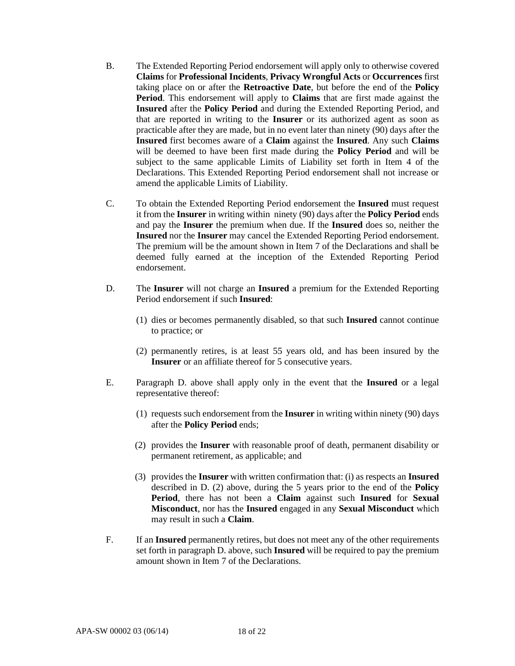- B. The Extended Reporting Period endorsement will apply only to otherwise covered **Claims** for **Professional Incidents**, **Privacy Wrongful Acts** or **Occurrences** first taking place on or after the **Retroactive Date**, but before the end of the **Policy Period**. This endorsement will apply to **Claims** that are first made against the **Insured** after the **Policy Period** and during the Extended Reporting Period, and that are reported in writing to the **Insurer** or its authorized agent as soon as practicable after they are made, but in no event later than ninety (90) days after the **Insured** first becomes aware of a **Claim** against the **Insured**. Any such **Claims** will be deemed to have been first made during the **Policy Period** and will be subject to the same applicable Limits of Liability set forth in Item 4 of the Declarations. This Extended Reporting Period endorsement shall not increase or amend the applicable Limits of Liability.
- C. To obtain the Extended Reporting Period endorsement the **Insured** must request it from the **Insurer** in writing within ninety (90) days after the **Policy Period** ends and pay the **Insurer** the premium when due. If the **Insured** does so, neither the **Insured** nor the **Insurer** may cancel the Extended Reporting Period endorsement. The premium will be the amount shown in Item 7 of the Declarations and shall be deemed fully earned at the inception of the Extended Reporting Period endorsement.
- D. The **Insurer** will not charge an **Insured** a premium for the Extended Reporting Period endorsement if such **Insured**:
	- (1) dies or becomes permanently disabled, so that such **Insured** cannot continue to practice; or
	- (2) permanently retires, is at least 55 years old, and has been insured by the **Insurer** or an affiliate thereof for 5 consecutive years.
- E. Paragraph D. above shall apply only in the event that the **Insured** or a legal representative thereof:
	- (1) requests such endorsement from the **Insurer** in writing within ninety (90) days after the **Policy Period** ends;
	- (2) provides the **Insurer** with reasonable proof of death, permanent disability or permanent retirement, as applicable; and
	- (3) provides the **Insurer** with written confirmation that: (i) as respects an **Insured** described in D. (2) above, during the 5 years prior to the end of the **Policy Period**, there has not been a **Claim** against such **Insured** for **Sexual Misconduct**, nor has the **Insured** engaged in any **Sexual Misconduct** which may result in such a **Claim**.
- F. If an **Insured** permanently retires, but does not meet any of the other requirements set forth in paragraph D. above, such **Insured** will be required to pay the premium amount shown in Item 7 of the Declarations.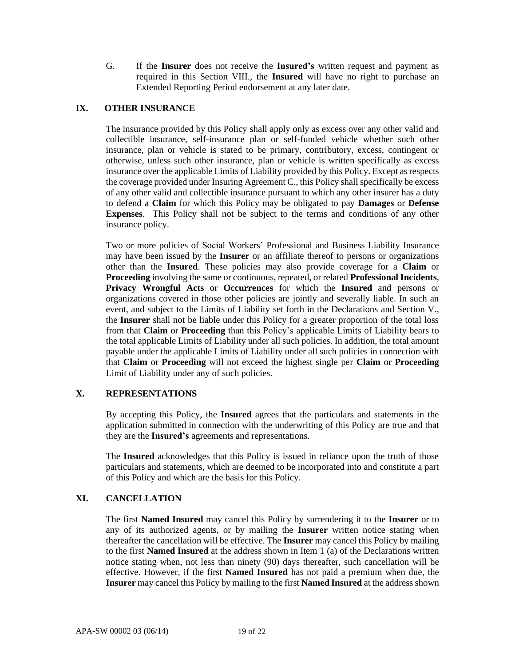G. If the **Insurer** does not receive the **Insured's** written request and payment as required in this Section VIII., the **Insured** will have no right to purchase an Extended Reporting Period endorsement at any later date.

# **IX. OTHER INSURANCE**

The insurance provided by this Policy shall apply only as excess over any other valid and collectible insurance, self-insurance plan or self-funded vehicle whether such other insurance, plan or vehicle is stated to be primary, contributory, excess, contingent or otherwise, unless such other insurance, plan or vehicle is written specifically as excess insurance over the applicable Limits of Liability provided by this Policy. Except as respects the coverage provided under Insuring Agreement C., this Policy shall specifically be excess of any other valid and collectible insurance pursuant to which any other insurer has a duty to defend a **Claim** for which this Policy may be obligated to pay **Damages** or **Defense Expenses**. This Policy shall not be subject to the terms and conditions of any other insurance policy.

Two or more policies of Social Workers' Professional and Business Liability Insurance may have been issued by the **Insurer** or an affiliate thereof to persons or organizations other than the **Insured**. These policies may also provide coverage for a **Claim** or **Proceeding** involving the same or continuous, repeated, or related **Professional Incidents**, **Privacy Wrongful Acts** or **Occurrences** for which the **Insured** and persons or organizations covered in those other policies are jointly and severally liable. In such an event, and subject to the Limits of Liability set forth in the Declarations and Section V., the **Insurer** shall not be liable under this Policy for a greater proportion of the total loss from that **Claim** or **Proceeding** than this Policy's applicable Limits of Liability bears to the total applicable Limits of Liability under all such policies. In addition, the total amount payable under the applicable Limits of Liability under all such policies in connection with that **Claim** or **Proceeding** will not exceed the highest single per **Claim** or **Proceeding** Limit of Liability under any of such policies.

# **X. REPRESENTATIONS**

By accepting this Policy, the **Insured** agrees that the particulars and statements in the application submitted in connection with the underwriting of this Policy are true and that they are the **Insured's** agreements and representations.

The **Insured** acknowledges that this Policy is issued in reliance upon the truth of those particulars and statements, which are deemed to be incorporated into and constitute a part of this Policy and which are the basis for this Policy.

# **XI. CANCELLATION**

The first **Named Insured** may cancel this Policy by surrendering it to the **Insurer** or to any of its authorized agents, or by mailing the **Insurer** written notice stating when thereafter the cancellation will be effective. The **Insurer** may cancel this Policy by mailing to the first **Named Insured** at the address shown in Item 1 (a) of the Declarations written notice stating when, not less than ninety (90) days thereafter, such cancellation will be effective. However, if the first **Named Insured** has not paid a premium when due, the **Insurer** may cancel this Policy by mailing to the first **Named Insured** at the address shown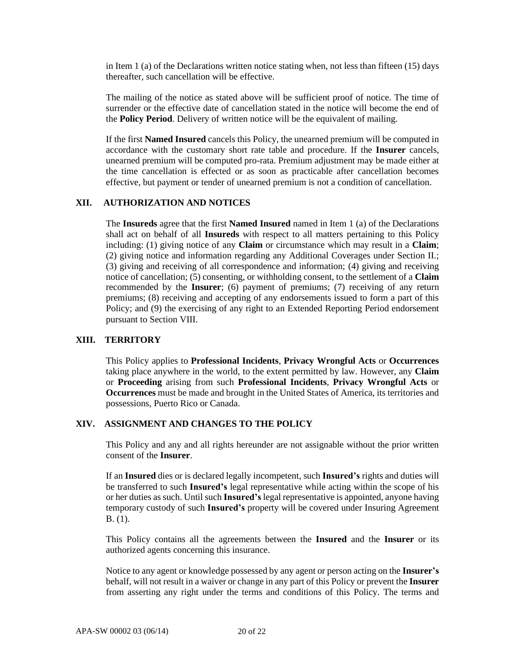in Item 1 (a) of the Declarations written notice stating when, not less than fifteen (15) days thereafter, such cancellation will be effective.

The mailing of the notice as stated above will be sufficient proof of notice. The time of surrender or the effective date of cancellation stated in the notice will become the end of the **Policy Period**. Delivery of written notice will be the equivalent of mailing.

If the first **Named Insured** cancels this Policy, the unearned premium will be computed in accordance with the customary short rate table and procedure. If the **Insurer** cancels, unearned premium will be computed pro-rata. Premium adjustment may be made either at the time cancellation is effected or as soon as practicable after cancellation becomes effective, but payment or tender of unearned premium is not a condition of cancellation.

#### **XII. AUTHORIZATION AND NOTICES**

The **Insureds** agree that the first **Named Insured** named in Item 1 (a) of the Declarations shall act on behalf of all **Insureds** with respect to all matters pertaining to this Policy including: (1) giving notice of any **Claim** or circumstance which may result in a **Claim**; (2) giving notice and information regarding any Additional Coverages under Section II.; (3) giving and receiving of all correspondence and information; (4) giving and receiving notice of cancellation; (5) consenting, or withholding consent, to the settlement of a **Claim**  recommended by the **Insurer**; (6) payment of premiums; (7) receiving of any return premiums; (8) receiving and accepting of any endorsements issued to form a part of this Policy; and (9) the exercising of any right to an Extended Reporting Period endorsement pursuant to Section VIII.

#### **XIII. TERRITORY**

This Policy applies to **Professional Incidents**, **Privacy Wrongful Acts** or **Occurrences** taking place anywhere in the world, to the extent permitted by law. However, any **Claim**  or **Proceeding** arising from such **Professional Incidents**, **Privacy Wrongful Acts** or **Occurrences** must be made and brought in the United States of America, its territories and possessions, Puerto Rico or Canada.

#### **XIV. ASSIGNMENT AND CHANGES TO THE POLICY**

This Policy and any and all rights hereunder are not assignable without the prior written consent of the **Insurer**.

If an **Insured** dies or is declared legally incompetent, such **Insured's** rights and duties will be transferred to such **Insured's** legal representative while acting within the scope of his or her duties as such. Until such **Insured's** legal representative is appointed, anyone having temporary custody of such **Insured's** property will be covered under Insuring Agreement B. (1).

This Policy contains all the agreements between the **Insured** and the **Insurer** or its authorized agents concerning this insurance.

Notice to any agent or knowledge possessed by any agent or person acting on the **Insurer's** behalf, will not result in a waiver or change in any part of this Policy or prevent the **Insurer** from asserting any right under the terms and conditions of this Policy. The terms and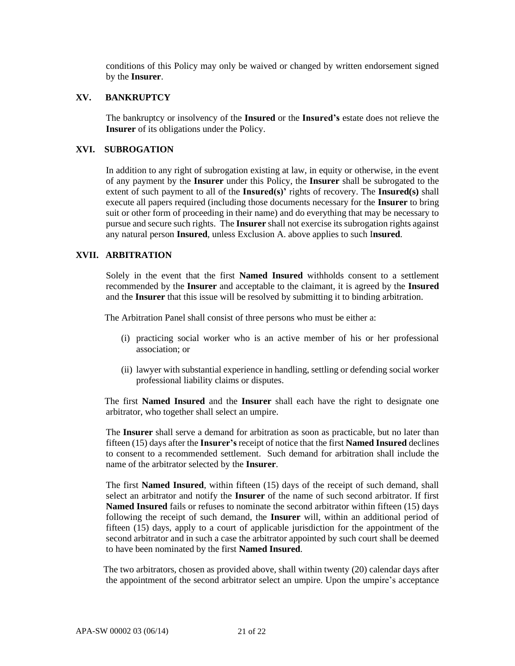conditions of this Policy may only be waived or changed by written endorsement signed by the **Insurer**.

#### **XV. BANKRUPTCY**

The bankruptcy or insolvency of the **Insured** or the **Insured's** estate does not relieve the **Insurer** of its obligations under the Policy.

### **XVI. SUBROGATION**

In addition to any right of subrogation existing at law, in equity or otherwise, in the event of any payment by the **Insurer** under this Policy, the **Insurer** shall be subrogated to the extent of such payment to all of the **Insured(s)'** rights of recovery. The **Insured(s)** shall execute all papers required (including those documents necessary for the **Insurer** to bring suit or other form of proceeding in their name) and do everything that may be necessary to pursue and secure such rights. The **Insurer** shall not exercise its subrogation rights against any natural person **Insured**, unless Exclusion A. above applies to such I**nsured**.

# **XVII. ARBITRATION**

Solely in the event that the first **Named Insured** withholds consent to a settlement recommended by the **Insurer** and acceptable to the claimant, it is agreed by the **Insured** and the **Insurer** that this issue will be resolved by submitting it to binding arbitration.

The Arbitration Panel shall consist of three persons who must be either a:

- (i) practicing social worker who is an active member of his or her professional association; or
- (ii) lawyer with substantial experience in handling, settling or defending social worker professional liability claims or disputes.

 The first **Named Insured** and the **Insurer** shall each have the right to designate one arbitrator, who together shall select an umpire.

The **Insurer** shall serve a demand for arbitration as soon as practicable, but no later than fifteen (15) days after the **Insurer's** receipt of notice that the first **Named Insured** declines to consent to a recommended settlement. Such demand for arbitration shall include the name of the arbitrator selected by the **Insurer**.

The first **Named Insured**, within fifteen (15) days of the receipt of such demand, shall select an arbitrator and notify the **Insurer** of the name of such second arbitrator. If first **Named Insured** fails or refuses to nominate the second arbitrator within fifteen (15) days following the receipt of such demand, the **Insurer** will, within an additional period of fifteen (15) days, apply to a court of applicable jurisdiction for the appointment of the second arbitrator and in such a case the arbitrator appointed by such court shall be deemed to have been nominated by the first **Named Insured**.

 The two arbitrators, chosen as provided above, shall within twenty (20) calendar days after the appointment of the second arbitrator select an umpire. Upon the umpire's acceptance